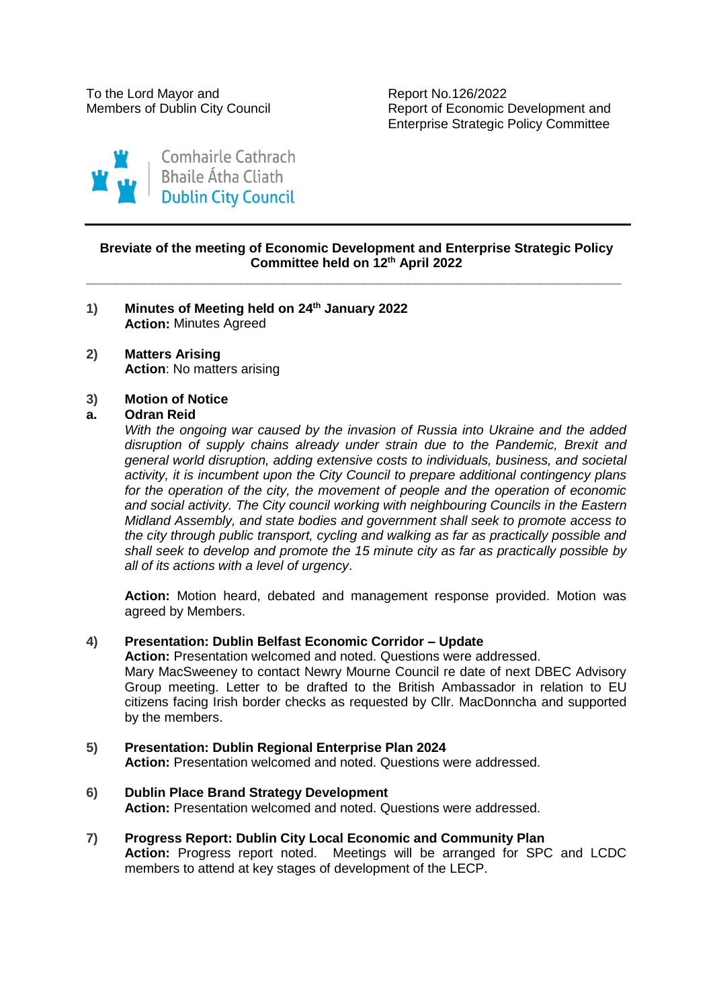Members of Dublin City Council **Report of Economic Development and** Enterprise Strategic Policy Committee



## **Breviate of the meeting of Economic Development and Enterprise Strategic Policy Committee held on 12th April 2022**

**\_\_\_\_\_\_\_\_\_\_\_\_\_\_\_\_\_\_\_\_\_\_\_\_\_\_\_\_\_\_\_\_\_\_\_\_\_\_\_\_\_\_\_\_\_\_\_\_\_\_\_\_\_\_\_\_\_\_\_\_\_\_\_\_\_\_\_\_\_\_\_\_\_**

- **1) Minutes of Meeting held on 24th January 2022 Action:** Minutes Agreed
- **2) Matters Arising Action**: No matters arising

## **3) Motion of Notice**

## **a. Odran Reid**

*With the ongoing war caused by the invasion of Russia into Ukraine and the added disruption of supply chains already under strain due to the Pandemic, Brexit and general world disruption, adding extensive costs to individuals, business, and societal activity, it is incumbent upon the City Council to prepare additional contingency plans for the operation of the city, the movement of people and the operation of economic and social activity. The City council working with neighbouring Councils in the Eastern Midland Assembly, and state bodies and government shall seek to promote access to the city through public transport, cycling and walking as far as practically possible and shall seek to develop and promote the 15 minute city as far as practically possible by all of its actions with a level of urgency*.

**Action:** Motion heard, debated and management response provided. Motion was agreed by Members.

**4) Presentation: Dublin Belfast Economic Corridor – Update** 

Action: Presentation welcomed and noted. Questions were addressed. Mary MacSweeney to contact Newry Mourne Council re date of next DBEC Advisory Group meeting. Letter to be drafted to the British Ambassador in relation to EU citizens facing Irish border checks as requested by Cllr. MacDonncha and supported by the members.

- **5) Presentation: Dublin Regional Enterprise Plan 2024** Action: Presentation welcomed and noted. Questions were addressed.
- **6) Dublin Place Brand Strategy Development Action:** Presentation welcomed and noted. Questions were addressed.
- **7) Progress Report: Dublin City Local Economic and Community Plan Action:** Progress report noted. Meetings will be arranged for SPC and LCDC members to attend at key stages of development of the LECP.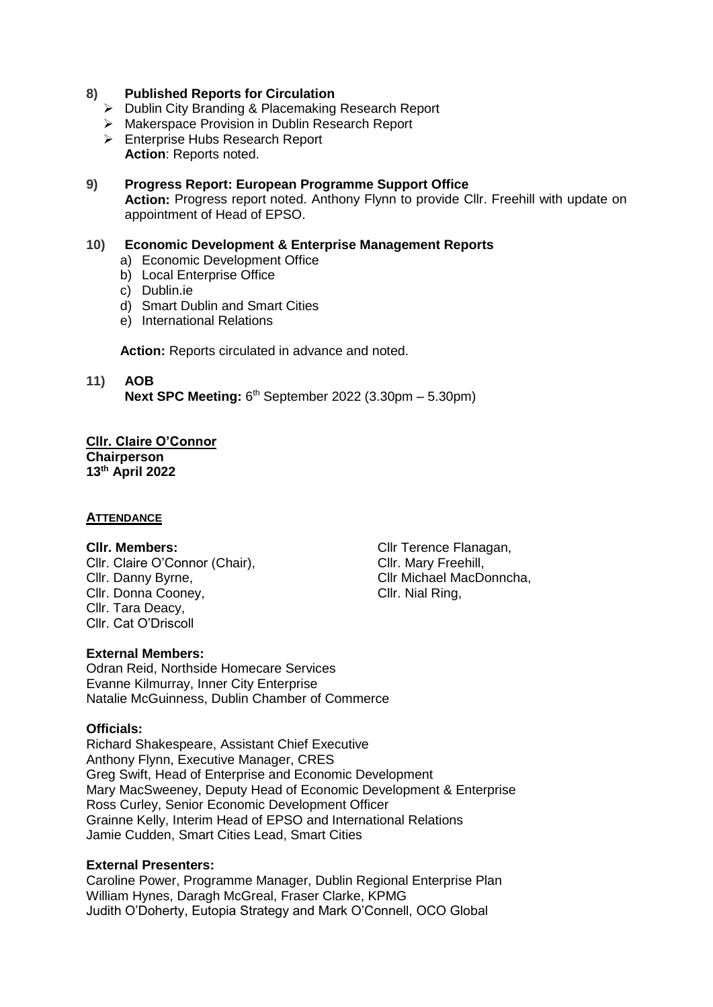## **8) Published Reports for Circulation**

- Dublin City Branding & Placemaking Research Report
- Makerspace Provision in Dublin Research Report
- Enterprise Hubs Research Report **Action**: Reports noted.

## **9) Progress Report: European Programme Support Office**  Action: Progress report noted. Anthony Flynn to provide Cllr. Freehill with update on appointment of Head of EPSO.

## **10) Economic Development & Enterprise Management Reports**

- a) Economic Development Office
- b) Local Enterprise Office
- c) Dublin.ie
- d) Smart Dublin and Smart Cities
- e) International Relations

**Action:** Reports circulated in advance and noted.

## **11) AOB**

**Next SPC Meeting: 6<sup>th</sup> September 2022 (3.30pm – 5.30pm)** 

#### **Cllr. Claire O'Connor Chairperson 13th April 2022**

#### **ATTENDANCE**

#### **Cllr. Members:**

Cllr. Claire O'Connor (Chair), Cllr. Danny Byrne, Cllr. Donna Cooney, Cllr. Tara Deacy, Cllr. Cat O'Driscoll

Cllr Terence Flanagan, Cllr. Mary Freehill, Cllr Michael MacDonncha, Cllr. Nial Ring,

#### **External Members:**

Odran Reid, Northside Homecare Services Evanne Kilmurray, Inner City Enterprise Natalie McGuinness, Dublin Chamber of Commerce

#### **Officials:**

Richard Shakespeare, Assistant Chief Executive Anthony Flynn, Executive Manager, CRES Greg Swift, Head of Enterprise and Economic Development Mary MacSweeney, Deputy Head of Economic Development & Enterprise Ross Curley, Senior Economic Development Officer Grainne Kelly, Interim Head of EPSO and International Relations Jamie Cudden, Smart Cities Lead, Smart Cities

#### **External Presenters:**

Caroline Power, Programme Manager, Dublin Regional Enterprise Plan William Hynes, Daragh McGreal, Fraser Clarke, KPMG Judith O'Doherty, Eutopia Strategy and Mark O'Connell, OCO Global